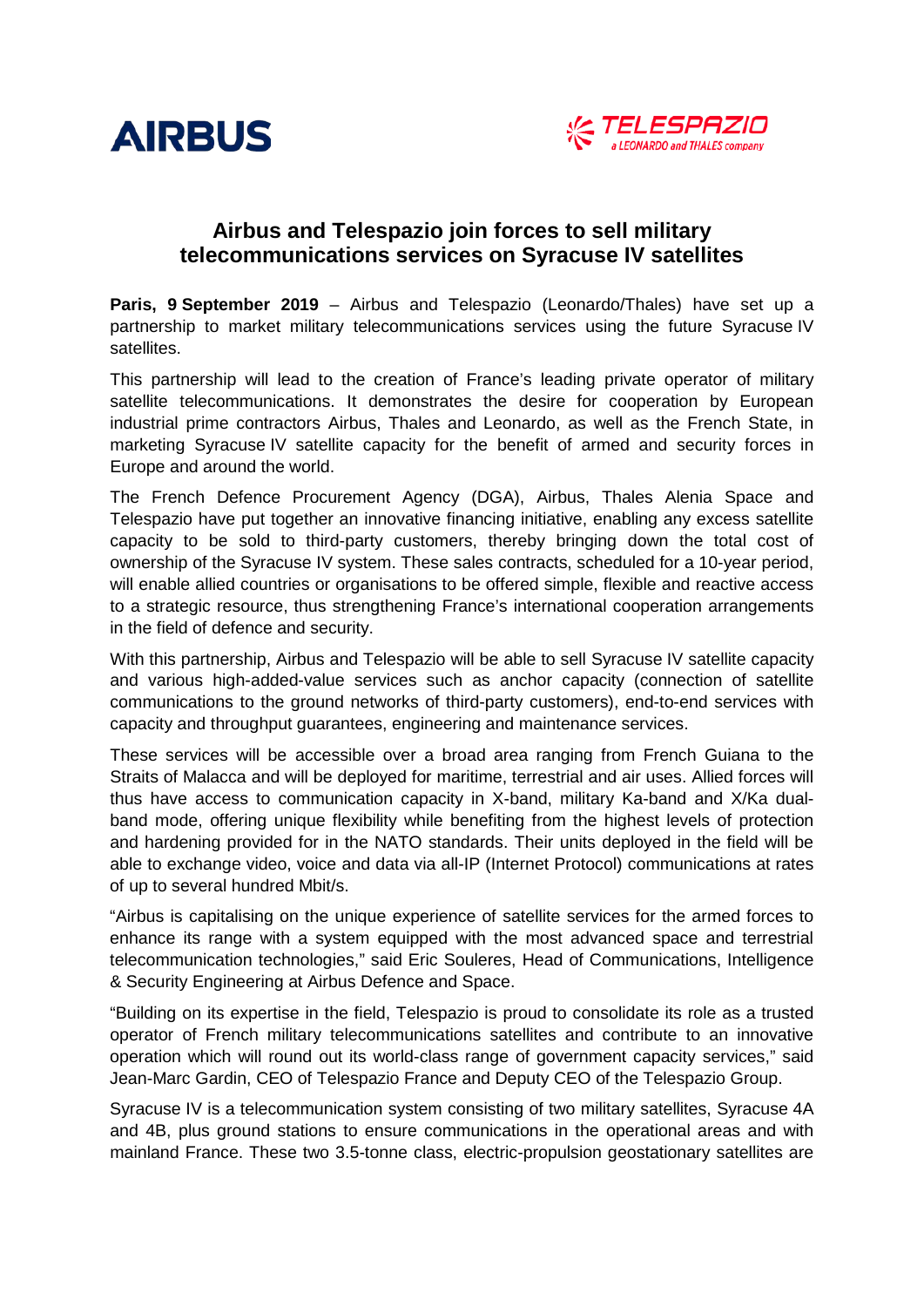



# **Airbus and Telespazio join forces to sell military telecommunications services on Syracuse IV satellites**

**Paris, 9 September 2019** – Airbus and Telespazio (Leonardo/Thales) have set up a partnership to market military telecommunications services using the future Syracuse IV satellites.

This partnership will lead to the creation of France's leading private operator of military satellite telecommunications. It demonstrates the desire for cooperation by European industrial prime contractors Airbus, Thales and Leonardo, as well as the French State, in marketing Syracuse IV satellite capacity for the benefit of armed and security forces in Europe and around the world.

The French Defence Procurement Agency (DGA), Airbus, Thales Alenia Space and Telespazio have put together an innovative financing initiative, enabling any excess satellite capacity to be sold to third-party customers, thereby bringing down the total cost of ownership of the Syracuse IV system. These sales contracts, scheduled for a 10-year period, will enable allied countries or organisations to be offered simple, flexible and reactive access to a strategic resource, thus strengthening France's international cooperation arrangements in the field of defence and security.

With this partnership, Airbus and Telespazio will be able to sell Syracuse IV satellite capacity and various high-added-value services such as anchor capacity (connection of satellite communications to the ground networks of third-party customers), end-to-end services with capacity and throughput guarantees, engineering and maintenance services.

These services will be accessible over a broad area ranging from French Guiana to the Straits of Malacca and will be deployed for maritime, terrestrial and air uses. Allied forces will thus have access to communication capacity in X-band, military Ka-band and X/Ka dualband mode, offering unique flexibility while benefiting from the highest levels of protection and hardening provided for in the NATO standards. Their units deployed in the field will be able to exchange video, voice and data via all-IP (Internet Protocol) communications at rates of up to several hundred Mbit/s.

"Airbus is capitalising on the unique experience of satellite services for the armed forces to enhance its range with a system equipped with the most advanced space and terrestrial telecommunication technologies," said Eric Souleres, Head of Communications, Intelligence & Security Engineering at Airbus Defence and Space.

"Building on its expertise in the field, Telespazio is proud to consolidate its role as a trusted operator of French military telecommunications satellites and contribute to an innovative operation which will round out its world-class range of government capacity services," said Jean-Marc Gardin, CEO of Telespazio France and Deputy CEO of the Telespazio Group.

Syracuse IV is a telecommunication system consisting of two military satellites, Syracuse 4A and 4B, plus ground stations to ensure communications in the operational areas and with mainland France. These two 3.5-tonne class, electric-propulsion geostationary satellites are